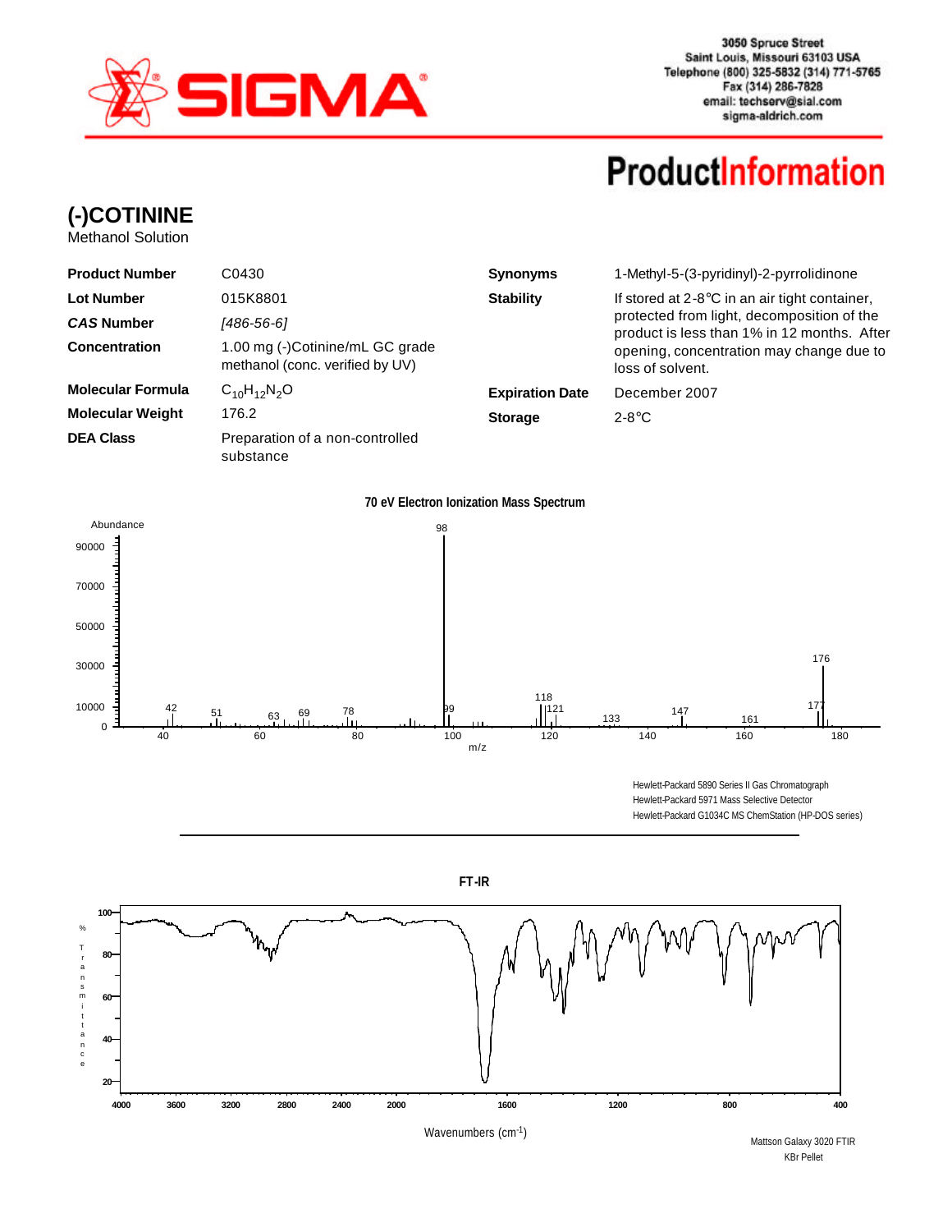

3050 Spruce Street Saint Louis, Missouri 63103 USA Telephone (800) 325-5832 (314) 771-5765 Fax (314) 286-7828 email: techserv@sial.com sigma-aldrich.com

## **ProductInformation**

**(-)COTININE**

Methanol Solution

| <b>Product Number</b>    | C0430                                                              | <b>Synonyms</b>        | 1-Methyl-5-(3-pyridinyl)-2-pyrrolidinone<br>If stored at $2-8$ °C in an air tight container,<br>protected from light, decomposition of the<br>product is less than 1% in 12 months. After |  |  |
|--------------------------|--------------------------------------------------------------------|------------------------|-------------------------------------------------------------------------------------------------------------------------------------------------------------------------------------------|--|--|
| <b>Lot Number</b>        | 015K8801                                                           | <b>Stability</b>       |                                                                                                                                                                                           |  |  |
| <b>CAS Number</b>        | [486-56-6]                                                         |                        |                                                                                                                                                                                           |  |  |
| <b>Concentration</b>     | 1.00 mg (-)Cotinine/mL GC grade<br>methanol (conc. verified by UV) |                        | opening, concentration may change due to<br>loss of solvent.                                                                                                                              |  |  |
| <b>Molecular Formula</b> | $C_{10}H_{12}N_2O$                                                 | <b>Expiration Date</b> | December 2007                                                                                                                                                                             |  |  |
| <b>Molecular Weight</b>  | 176.2                                                              | <b>Storage</b>         | $2 - 8^\circ \text{C}$                                                                                                                                                                    |  |  |
| <b>DEA Class</b>         | Preparation of a non-controlled<br>substance                       |                        |                                                                                                                                                                                           |  |  |



Hewlett-Packard 5890 Series II Gas Chromatograph Hewlett-Packard 5971 Mass Selective Detector Hewlett-Packard G1034C MS ChemStation (HP-DOS series)



Mattson Galaxy 3020 FTIR KBr Pellet